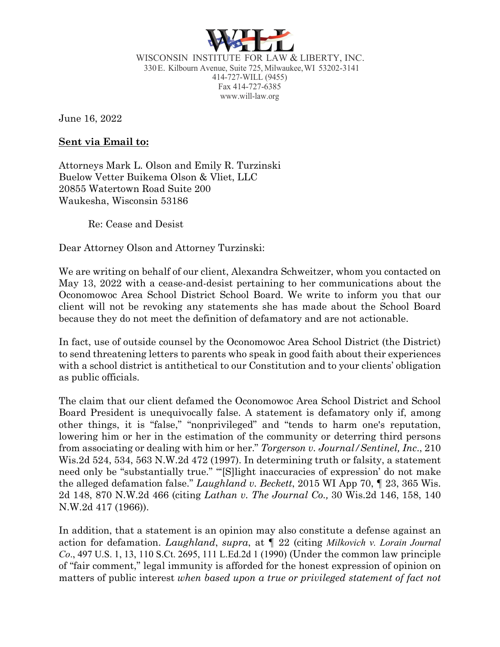

WISCONSIN INSTITUTE FOR LAW & LIBERTY, INC. 330E. Kilbourn Avenue, Suite 725, Milwaukee,WI 53202-3141 414-727-WILL (9455) Fax 414-727-6385 www.will-law.org

June 16, 2022

#### **Sent via Email to:**

Attorneys Mark L. Olson and Emily R. Turzinski Buelow Vetter Buikema Olson & Vliet, LLC 20855 Watertown Road Suite 200 Waukesha, Wisconsin 53186

Re: Cease and Desist

Dear Attorney Olson and Attorney Turzinski:

We are writing on behalf of our client, Alexandra Schweitzer, whom you contacted on May 13, 2022 with a cease-and-desist pertaining to her communications about the Oconomowoc Area School District School Board. We write to inform you that our client will not be revoking any statements she has made about the School Board because they do not meet the definition of defamatory and are not actionable.

In fact, use of outside counsel by the Oconomowoc Area School District (the District) to send threatening letters to parents who speak in good faith about their experiences with a school district is antithetical to our Constitution and to your clients' obligation as public officials.

The claim that our client defamed the Oconomowoc Area School District and School Board President is unequivocally false. A statement is defamatory only if, among other things, it is "false," "nonprivileged" and "tends to harm one's reputation, lowering him or her in the estimation of the community or deterring third persons from associating or dealing with him or her." *Torgerson v. Journal/Sentinel, Inc*., 210 Wis.2d 524, 534, 563 N.W.2d 472 (1997). In determining truth or falsity, a statement need only be "substantially true." "'[S]light inaccuracies of expression' do not make the alleged defamation false." *Laughland v. Beckett*, 2015 WI App 70, ¶ 23, 365 Wis. 2d 148, 870 N.W.2d 466 (citing *Lathan v. The Journal Co.,* 30 Wis.2d 146, 158, 140 N.W.2d 417 (1966)).

In addition, that a statement is an opinion may also constitute a defense against an action for defamation. *Laughland*, *supra*, at ¶ 22 (citing *Milkovich v. Lorain Journal Co*., 497 U.S. 1, 13, 110 S.Ct. 2695, 111 L.Ed.2d 1 (1990) (Under the common law principle of "fair comment," legal immunity is afforded for the honest expression of opinion on matters of public interest *when based upon a true or privileged statement of fact not*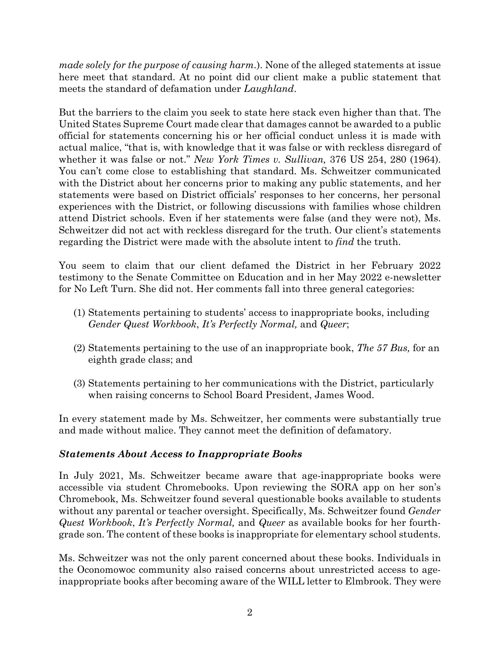*made solely for the purpose of causing harm.*). None of the alleged statements at issue here meet that standard. At no point did our client make a public statement that meets the standard of defamation under *Laughland*.

But the barriers to the claim you seek to state here stack even higher than that. The United States Supreme Court made clear that damages cannot be awarded to a public official for statements concerning his or her official conduct unless it is made with actual malice, "that is, with knowledge that it was false or with reckless disregard of whether it was false or not." *New York Times v. Sullivan,* 376 US 254, 280 (1964). You can't come close to establishing that standard. Ms. Schweitzer communicated with the District about her concerns prior to making any public statements, and her statements were based on District officials' responses to her concerns, her personal experiences with the District, or following discussions with families whose children attend District schools. Even if her statements were false (and they were not), Ms. Schweitzer did not act with reckless disregard for the truth. Our client's statements regarding the District were made with the absolute intent to *find* the truth.

You seem to claim that our client defamed the District in her February 2022 testimony to the Senate Committee on Education and in her May 2022 e-newsletter for No Left Turn. She did not. Her comments fall into three general categories:

- (1) Statements pertaining to students' access to inappropriate books, including *Gender Quest Workbook*, *It's Perfectly Normal,* and *Queer*;
- (2) Statements pertaining to the use of an inappropriate book, *The 57 Bus,* for an eighth grade class; and
- (3) Statements pertaining to her communications with the District, particularly when raising concerns to School Board President, James Wood.

In every statement made by Ms. Schweitzer, her comments were substantially true and made without malice. They cannot meet the definition of defamatory.

## *Statements About Access to Inappropriate Books*

In July 2021, Ms. Schweitzer became aware that age-inappropriate books were accessible via student Chromebooks. Upon reviewing the SORA app on her son's Chromebook, Ms. Schweitzer found several questionable books available to students without any parental or teacher oversight. Specifically, Ms. Schweitzer found *Gender Quest Workbook*, *It's Perfectly Normal,* and *Queer* as available books for her fourthgrade son. The content of these books is inappropriate for elementary school students.

Ms. Schweitzer was not the only parent concerned about these books. Individuals in the Oconomowoc community also raised concerns about unrestricted access to ageinappropriate books after becoming aware of the WILL letter to Elmbrook. They were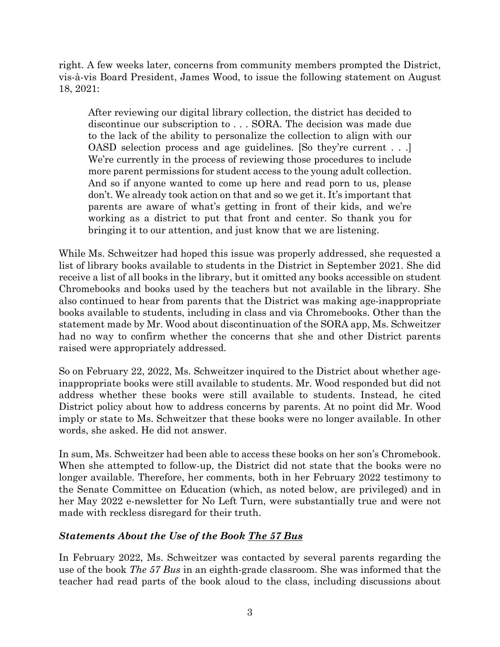right. A few weeks later, concerns from community members prompted the District, vis-à-vis Board President, James Wood, to issue the following statement on August 18, 2021:

After reviewing our digital library collection, the district has decided to discontinue our subscription to . . . SORA. The decision was made due to the lack of the ability to personalize the collection to align with our OASD selection process and age guidelines. [So they're current . . .] We're currently in the process of reviewing those procedures to include more parent permissions for student access to the young adult collection. And so if anyone wanted to come up here and read porn to us, please don't. We already took action on that and so we get it. It's important that parents are aware of what's getting in front of their kids, and we're working as a district to put that front and center. So thank you for bringing it to our attention, and just know that we are listening.

While Ms. Schweitzer had hoped this issue was properly addressed, she requested a list of library books available to students in the District in September 2021. She did receive a list of all books in the library, but it omitted any books accessible on student Chromebooks and books used by the teachers but not available in the library. She also continued to hear from parents that the District was making age-inappropriate books available to students, including in class and via Chromebooks. Other than the statement made by Mr. Wood about discontinuation of the SORA app, Ms. Schweitzer had no way to confirm whether the concerns that she and other District parents raised were appropriately addressed.

So on February 22, 2022, Ms. Schweitzer inquired to the District about whether ageinappropriate books were still available to students. Mr. Wood responded but did not address whether these books were still available to students. Instead, he cited District policy about how to address concerns by parents. At no point did Mr. Wood imply or state to Ms. Schweitzer that these books were no longer available. In other words, she asked. He did not answer.

In sum, Ms. Schweitzer had been able to access these books on her son's Chromebook. When she attempted to follow-up, the District did not state that the books were no longer available. Therefore, her comments, both in her February 2022 testimony to the Senate Committee on Education (which, as noted below, are privileged) and in her May 2022 e-newsletter for No Left Turn, were substantially true and were not made with reckless disregard for their truth.

## *Statements About the Use of the Book The 57 Bus*

In February 2022, Ms. Schweitzer was contacted by several parents regarding the use of the book *The 57 Bus* in an eighth-grade classroom. She was informed that the teacher had read parts of the book aloud to the class, including discussions about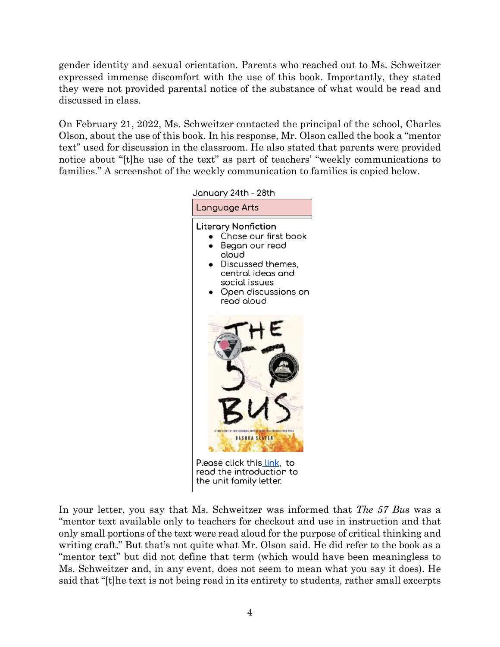gender identity and sexual orientation. Parents who reached out to Ms. Schweitzer expressed immense discomfort with the use of this book. Importantly, they stated they were not provided parental notice of the substance of what would be read and discussed in class.

On February 21, 2022, Ms. Schweitzer contacted the principal of the school, Charles Olson, about the use of this book. In his response, Mr. Olson called the book a "mentor text" used for discussion in the classroom. He also stated that parents were provided notice about "[t]he use of the text" as part of teachers' "weekly communications to families." A screenshot of the weekly communication to families is copied below.



read the introduction to the unit family letter.

In your letter, you say that Ms. Schweitzer was informed that *The 57 Bus* was a "mentor text available only to teachers for checkout and use in instruction and that only small portions of the text were read aloud for the purpose of critical thinking and writing craft." But that's not quite what Mr. Olson said. He did refer to the book as a "mentor text" but did not define that term (which would have been meaningless to Ms. Schweitzer and, in any event, does not seem to mean what you say it does). He said that "[t]he text is not being read in its entirety to students, rather small excerpts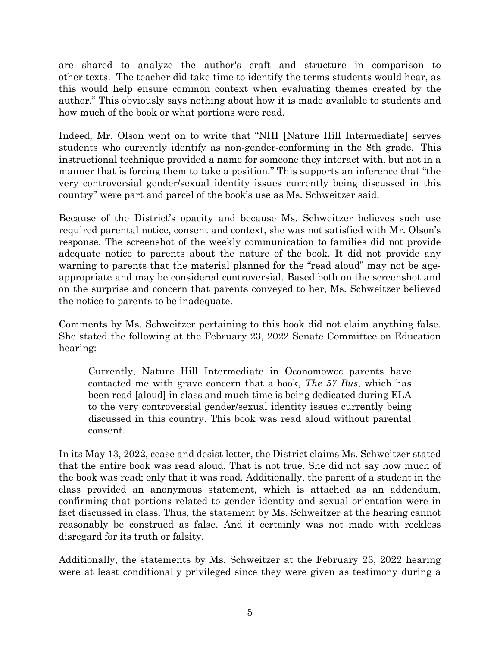are shared to analyze the author's craft and structure in comparison to other texts. The teacher did take time to identify the terms students would hear, as this would help ensure common context when evaluating themes created by the author." This obviously says nothing about how it is made available to students and how much of the book or what portions were read.

Indeed, Mr. Olson went on to write that "NHI [Nature Hill Intermediate] serves students who currently identify as non-gender-conforming in the 8th grade. This instructional technique provided a name for someone they interact with, but not in a manner that is forcing them to take a position." This supports an inference that "the very controversial gender/sexual identity issues currently being discussed in this country" were part and parcel of the book's use as Ms. Schweitzer said.

Because of the District's opacity and because Ms. Schweitzer believes such use required parental notice, consent and context, she was not satisfied with Mr. Olson's response. The screenshot of the weekly communication to families did not provide adequate notice to parents about the nature of the book. It did not provide any warning to parents that the material planned for the "read aloud" may not be ageappropriate and may be considered controversial. Based both on the screenshot and on the surprise and concern that parents conveyed to her, Ms. Schweitzer believed the notice to parents to be inadequate.

Comments by Ms. Schweitzer pertaining to this book did not claim anything false. She stated the following at the February 23, 2022 Senate Committee on Education hearing:

Currently, Nature Hill Intermediate in Oconomowoc parents have contacted me with grave concern that a book, *The 57 Bus*, which has been read [aloud] in class and much time is being dedicated during ELA to the very controversial gender/sexual identity issues currently being discussed in this country. This book was read aloud without parental consent.

In its May 13, 2022, cease and desist letter, the District claims Ms. Schweitzer stated that the entire book was read aloud. That is not true. She did not say how much of the book was read; only that it was read. Additionally, the parent of a student in the class provided an anonymous statement, which is attached as an addendum, confirming that portions related to gender identity and sexual orientation were in fact discussed in class. Thus, the statement by Ms. Schweitzer at the hearing cannot reasonably be construed as false. And it certainly was not made with reckless disregard for its truth or falsity.

Additionally, the statements by Ms. Schweitzer at the February 23, 2022 hearing were at least conditionally privileged since they were given as testimony during a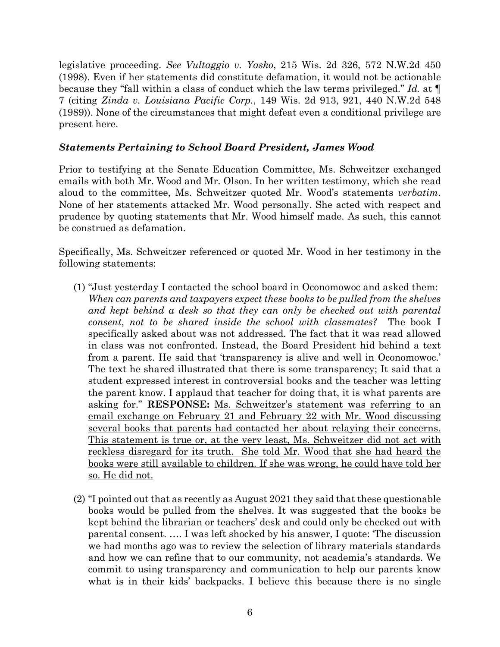legislative proceeding. *See Vultaggio v. Yasko*, 215 Wis. 2d 326, 572 N.W.2d 450 (1998). Even if her statements did constitute defamation, it would not be actionable because they "fall within a class of conduct which the law terms privileged." *Id.* at ¶ 7 (citing *Zinda v. Louisiana Pacific Corp.*, 149 Wis. 2d 913, 921, 440 N.W.2d 548 (1989)). None of the circumstances that might defeat even a conditional privilege are present here.

#### *Statements Pertaining to School Board President, James Wood*

Prior to testifying at the Senate Education Committee, Ms. Schweitzer exchanged emails with both Mr. Wood and Mr. Olson. In her written testimony, which she read aloud to the committee, Ms. Schweitzer quoted Mr. Wood's statements *verbatim*. None of her statements attacked Mr. Wood personally. She acted with respect and prudence by quoting statements that Mr. Wood himself made. As such, this cannot be construed as defamation.

Specifically, Ms. Schweitzer referenced or quoted Mr. Wood in her testimony in the following statements:

- (1) "Just yesterday I contacted the school board in Oconomowoc and asked them: *When can parents and taxpayers expect these books to be pulled from the shelves*  and kept behind a desk so that they can only be checked out with parental *consent*, *not to be shared inside the school with classmates?* The book I specifically asked about was not addressed. The fact that it was read allowed in class was not confronted. Instead, the Board President hid behind a text from a parent. He said that 'transparency is alive and well in Oconomowoc.' The text he shared illustrated that there is some transparency; It said that a student expressed interest in controversial books and the teacher was letting the parent know. I applaud that teacher for doing that, it is what parents are asking for." **RESPONSE:** Ms. Schweitzer's statement was referring to an email exchange on February 21 and February 22 with Mr. Wood discussing several books that parents had contacted her about relaying their concerns. This statement is true or, at the very least, Ms. Schweitzer did not act with reckless disregard for its truth. She told Mr. Wood that she had heard the books were still available to children. If she was wrong, he could have told her so. He did not.
- (2) "I pointed out that as recently as August 2021 they said that these questionable books would be pulled from the shelves. It was suggested that the books be kept behind the librarian or teachers' desk and could only be checked out with parental consent. …. I was left shocked by his answer, I quote: 'The discussion we had months ago was to review the selection of library materials standards and how we can refine that to our community, not academia's standards. We commit to using transparency and communication to help our parents know what is in their kids' backpacks. I believe this because there is no single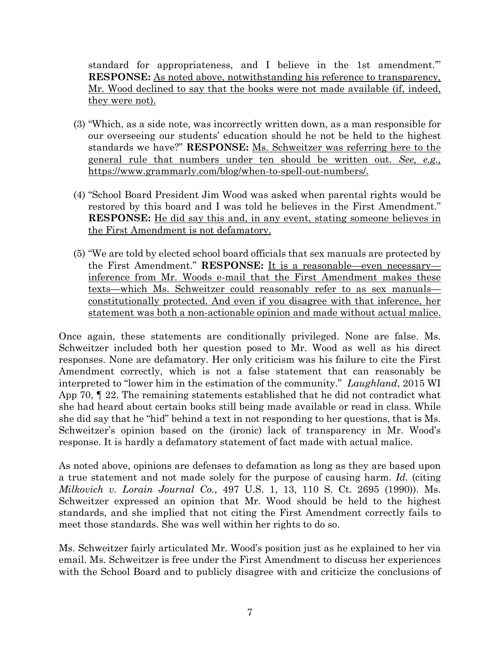standard for appropriateness, and I believe in the 1st amendment.'" **RESPONSE:** As noted above, notwithstanding his reference to transparency, Mr. Wood declined to say that the books were not made available (if, indeed, they were not).

- (3) "Which, as a side note, was incorrectly written down, as a man responsible for our overseeing our students' education should he not be held to the highest standards we have?" **RESPONSE:** Ms. Schweitzer was referring here to the general rule that numbers under ten should be written out. *See, e.g.,* https://www.grammarly.com/blog/when-to-spell-out-numbers/.
- (4) "School Board President Jim Wood was asked when parental rights would be restored by this board and I was told he believes in the First Amendment." **RESPONSE:** He did say this and, in any event, stating someone believes in the First Amendment is not defamatory.
- (5) "We are told by elected school board officials that sex manuals are protected by the First Amendment." **RESPONSE:** It is a reasonable—even necessary inference from Mr. Woods e-mail that the First Amendment makes these texts—which Ms. Schweitzer could reasonably refer to as sex manuals constitutionally protected. And even if you disagree with that inference, her statement was both a non-actionable opinion and made without actual malice.

Once again, these statements are conditionally privileged. None are false. Ms. Schweitzer included both her question posed to Mr. Wood as well as his direct responses. None are defamatory. Her only criticism was his failure to cite the First Amendment correctly, which is not a false statement that can reasonably be interpreted to "lower him in the estimation of the community." *Laughland*, 2015 WI App 70, ¶ 22. The remaining statements established that he did not contradict what she had heard about certain books still being made available or read in class. While she did say that he "hid" behind a text in not responding to her questions, that is Ms. Schweitzer's opinion based on the (ironic) lack of transparency in Mr. Wood's response. It is hardly a defamatory statement of fact made with actual malice.

As noted above, opinions are defenses to defamation as long as they are based upon a true statement and not made solely for the purpose of causing harm. *Id.* (citing *Milkovich v. Lorain Journal Co.*, 497 U.S. 1, 13, 110 S. Ct. 2695 (1990)). Ms. Schweitzer expressed an opinion that Mr. Wood should be held to the highest standards, and she implied that not citing the First Amendment correctly fails to meet those standards. She was well within her rights to do so.

Ms. Schweitzer fairly articulated Mr. Wood's position just as he explained to her via email. Ms. Schweitzer is free under the First Amendment to discuss her experiences with the School Board and to publicly disagree with and criticize the conclusions of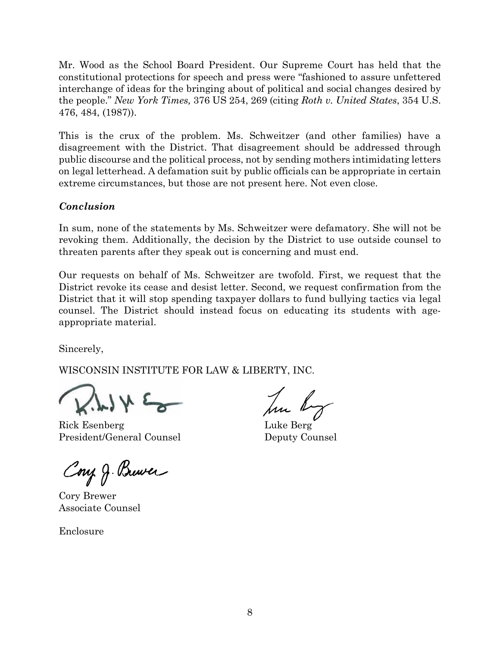Mr. Wood as the School Board President. Our Supreme Court has held that the constitutional protections for speech and press were "fashioned to assure unfettered interchange of ideas for the bringing about of political and social changes desired by the people." *New York Times,* 376 US 254, 269 (citing *Roth v. United States*, 354 U.S. 476, 484, (1987)).

This is the crux of the problem. Ms. Schweitzer (and other families) have a disagreement with the District. That disagreement should be addressed through public discourse and the political process, not by sending mothers intimidating letters on legal letterhead. A defamation suit by public officials can be appropriate in certain extreme circumstances, but those are not present here. Not even close.

# *Conclusion*

In sum, none of the statements by Ms. Schweitzer were defamatory. She will not be revoking them. Additionally, the decision by the District to use outside counsel to threaten parents after they speak out is concerning and must end.

Our requests on behalf of Ms. Schweitzer are twofold. First, we request that the District revoke its cease and desist letter. Second, we request confirmation from the District that it will stop spending taxpayer dollars to fund bullying tactics via legal counsel. The District should instead focus on educating its students with ageappropriate material.

Sincerely,

WISCONSIN INSTITUTE FOR LAW & LIBERTY, INC.

 $\rightarrow$   $\rightarrow$   $\rightarrow$ 

Rick Esenberg Luke Berg President/General Counsel Deputy Counsel

Cong J. Brewer

Cory Brewer Associate Counsel

Enclosure

hu by